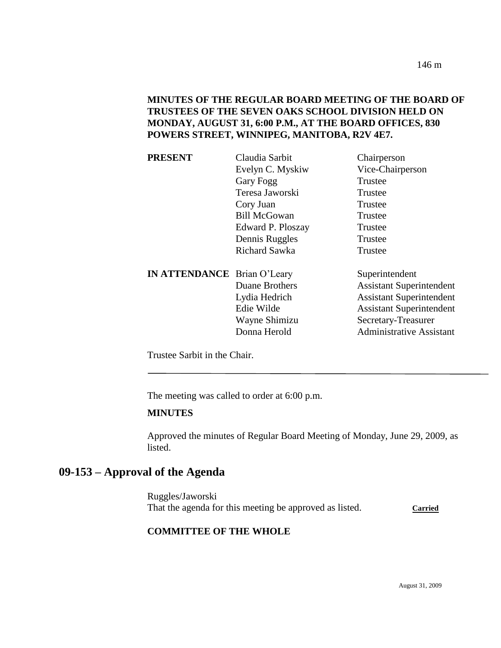### **MINUTES OF THE REGULAR BOARD MEETING OF THE BOARD OF TRUSTEES OF THE SEVEN OAKS SCHOOL DIVISION HELD ON MONDAY, AUGUST 31, 6:00 P.M., AT THE BOARD OFFICES, 830 POWERS STREET, WINNIPEG, MANITOBA, R2V 4E7.**

| <b>PRESENT</b>                     | Claudia Sarbit      | Chairperson                     |
|------------------------------------|---------------------|---------------------------------|
|                                    | Evelyn C. Myskiw    | Vice-Chairperson                |
|                                    | Gary Fogg           | Trustee                         |
|                                    | Teresa Jaworski     | Trustee                         |
|                                    | Cory Juan           | Trustee                         |
|                                    | <b>Bill McGowan</b> | Trustee                         |
|                                    | Edward P. Ploszay   | Trustee                         |
|                                    | Dennis Ruggles      | Trustee                         |
|                                    | Richard Sawka       | Trustee                         |
| <b>IN ATTENDANCE</b> Brian O'Leary |                     | Superintendent                  |
|                                    | Duane Brothers      | <b>Assistant Superintendent</b> |
|                                    | Lydia Hedrich       | <b>Assistant Superintendent</b> |
|                                    | Edie Wilde          | <b>Assistant Superintendent</b> |
|                                    | Wayne Shimizu       | Secretary-Treasurer             |
|                                    | Donna Herold        | <b>Administrative Assistant</b> |
|                                    |                     |                                 |

Trustee Sarbit in the Chair.

The meeting was called to order at 6:00 p.m.

#### **MINUTES**

Approved the minutes of Regular Board Meeting of Monday, June 29, 2009, as listed.

## **09-153 – Approval of the Agenda**

Ruggles/Jaworski That the agenda for this meeting be approved as listed. Carried

### **COMMITTEE OF THE WHOLE**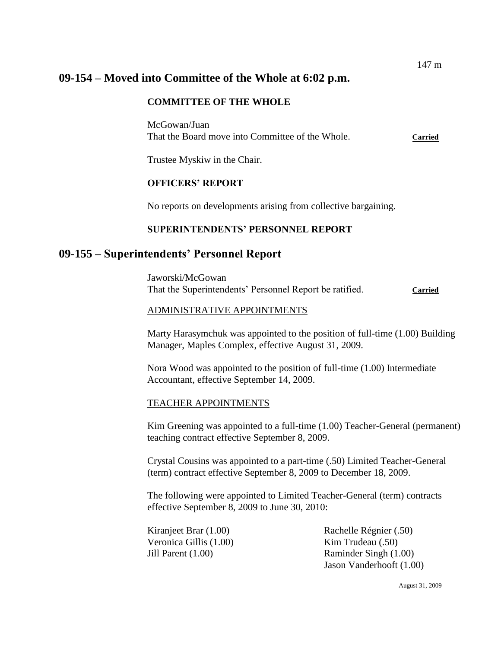# **09-154 – Moved into Committee of the Whole at 6:02 p.m.**

### **COMMITTEE OF THE WHOLE**

McGowan/Juan That the Board move into Committee of the Whole. **Carried**

Trustee Myskiw in the Chair.

### **OFFICERS' REPORT**

No reports on developments arising from collective bargaining.

### **SUPERINTENDENTS' PERSONNEL REPORT**

## **09-155 – Superintendents' Personnel Report**

Jaworski/McGowan That the Superintendents' Personnel Report be ratified. **Carried**

### ADMINISTRATIVE APPOINTMENTS

Marty Harasymchuk was appointed to the position of full-time (1.00) Building Manager, Maples Complex, effective August 31, 2009.

Nora Wood was appointed to the position of full-time (1.00) Intermediate Accountant, effective September 14, 2009.

### TEACHER APPOINTMENTS

Kim Greening was appointed to a full-time (1.00) Teacher-General (permanent) teaching contract effective September 8, 2009.

Crystal Cousins was appointed to a part-time (.50) Limited Teacher-General (term) contract effective September 8, 2009 to December 18, 2009.

The following were appointed to Limited Teacher-General (term) contracts effective September 8, 2009 to June 30, 2010:

Veronica Gillis (1.00) Kim Trudeau (.50)

Kiranjeet Brar (1.00) Rachelle Régnier (.50) Jill Parent (1.00) Raminder Singh (1.00) Jason Vanderhooft (1.00)

147 m

August 31, 2009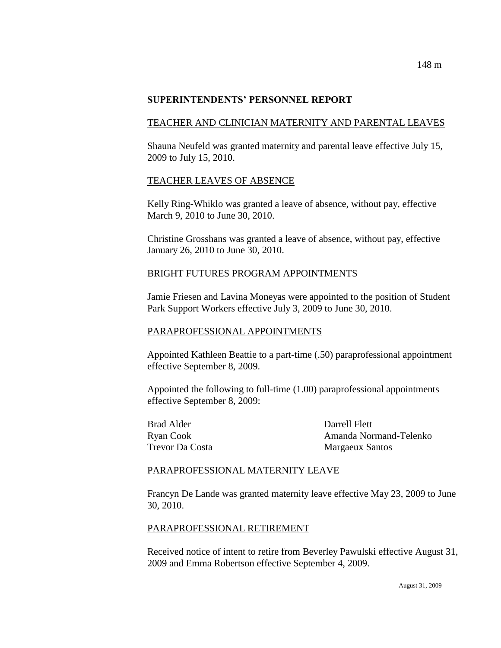#### **SUPERINTENDENTS' PERSONNEL REPORT**

### TEACHER AND CLINICIAN MATERNITY AND PARENTAL LEAVES

Shauna Neufeld was granted maternity and parental leave effective July 15, 2009 to July 15, 2010.

### TEACHER LEAVES OF ABSENCE

Kelly Ring-Whiklo was granted a leave of absence, without pay, effective March 9, 2010 to June 30, 2010.

Christine Grosshans was granted a leave of absence, without pay, effective January 26, 2010 to June 30, 2010.

### BRIGHT FUTURES PROGRAM APPOINTMENTS

Jamie Friesen and Lavina Moneyas were appointed to the position of Student Park Support Workers effective July 3, 2009 to June 30, 2010.

### PARAPROFESSIONAL APPOINTMENTS

Appointed Kathleen Beattie to a part-time (.50) paraprofessional appointment effective September 8, 2009.

Appointed the following to full-time (1.00) paraprofessional appointments effective September 8, 2009:

Brad Alder Darrell Flett

Ryan Cook Amanda Normand-Telenko Trevor Da Costa **Margaeux Santos** 

### PARAPROFESSIONAL MATERNITY LEAVE

Francyn De Lande was granted maternity leave effective May 23, 2009 to June 30, 2010.

### PARAPROFESSIONAL RETIREMENT

Received notice of intent to retire from Beverley Pawulski effective August 31, 2009 and Emma Robertson effective September 4, 2009.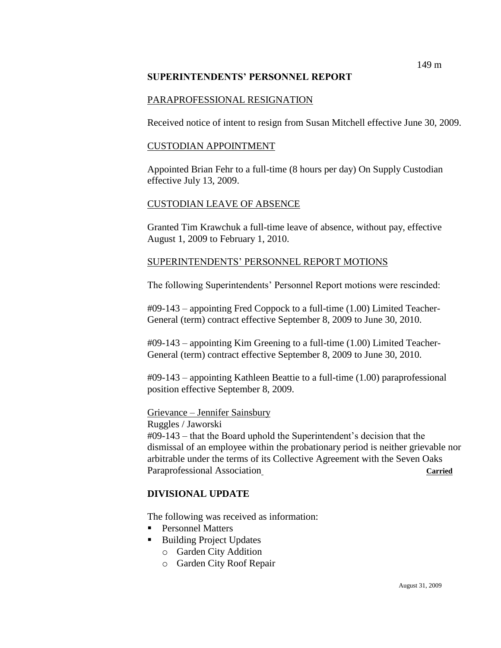### **SUPERINTENDENTS' PERSONNEL REPORT**

### PARAPROFESSIONAL RESIGNATION

Received notice of intent to resign from Susan Mitchell effective June 30, 2009.

### CUSTODIAN APPOINTMENT

Appointed Brian Fehr to a full-time (8 hours per day) On Supply Custodian effective July 13, 2009.

### CUSTODIAN LEAVE OF ABSENCE

Granted Tim Krawchuk a full-time leave of absence, without pay, effective August 1, 2009 to February 1, 2010.

### SUPERINTENDENTS' PERSONNEL REPORT MOTIONS

The following Superintendents' Personnel Report motions were rescinded:

#09-143 – appointing Fred Coppock to a full-time (1.00) Limited Teacher-General (term) contract effective September 8, 2009 to June 30, 2010.

#09-143 – appointing Kim Greening to a full-time (1.00) Limited Teacher-General (term) contract effective September 8, 2009 to June 30, 2010.

#09-143 – appointing Kathleen Beattie to a full-time (1.00) paraprofessional position effective September 8, 2009.

### Grievance – Jennifer Sainsbury

Ruggles / Jaworski

#09-143 – that the Board uphold the Superintendent's decision that the dismissal of an employee within the probationary period is neither grievable nor arbitrable under the terms of its Collective Agreement with the Seven Oaks Paraprofessional Association Carried

### **DIVISIONAL UPDATE**

The following was received as information:

- **Personnel Matters**
- Building Project Updates
	- o Garden City Addition
	- o Garden City Roof Repair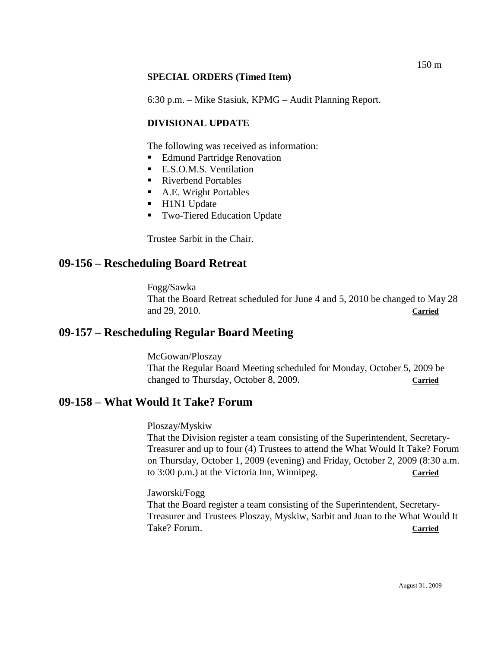### **SPECIAL ORDERS (Timed Item)**

6:30 p.m. – Mike Stasiuk, KPMG – Audit Planning Report.

### **DIVISIONAL UPDATE**

The following was received as information:

- Edmund Partridge Renovation
- E.S.O.M.S. Ventilation
- Riverbend Portables
- A.E. Wright Portables
- H1N1 Update
- **Two-Tiered Education Update**

Trustee Sarbit in the Chair.

## **09-156 – Rescheduling Board Retreat**

Fogg/Sawka That the Board Retreat scheduled for June 4 and 5, 2010 be changed to May 28 and 29, 2010. **Carried**

## **09-157 – Rescheduling Regular Board Meeting**

McGowan/Ploszay That the Regular Board Meeting scheduled for Monday, October 5, 2009 be changed to Thursday, October 8, 2009. **Carried**

## **09-158 – What Would It Take? Forum**

Ploszay/Myskiw

That the Division register a team consisting of the Superintendent, Secretary-Treasurer and up to four (4) Trustees to attend the What Would It Take? Forum on Thursday, October 1, 2009 (evening) and Friday, October 2, 2009 (8:30 a.m. to 3:00 p.m.) at the Victoria Inn, Winnipeg. **Carried**

Jaworski/Fogg

That the Board register a team consisting of the Superintendent, Secretary-Treasurer and Trustees Ploszay, Myskiw, Sarbit and Juan to the What Would It Take? Forum. **Carried**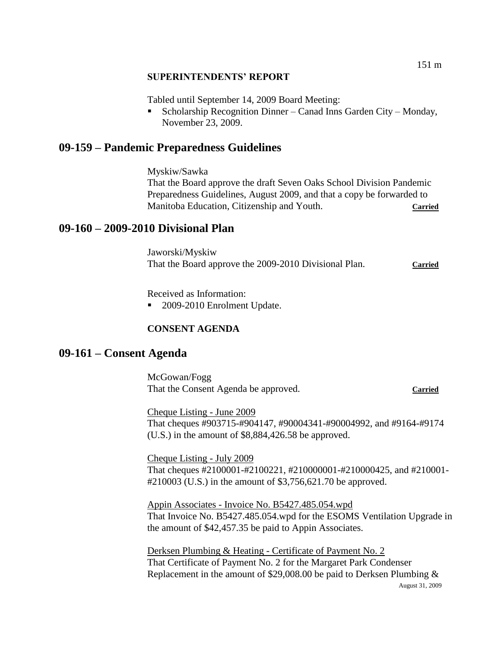### **SUPERINTENDENTS' REPORT**

Tabled until September 14, 2009 Board Meeting:

 Scholarship Recognition Dinner – Canad Inns Garden City – Monday, November 23, 2009.

## **09-159 – Pandemic Preparedness Guidelines**

Myskiw/Sawka That the Board approve the draft Seven Oaks School Division Pandemic Preparedness Guidelines, August 2009, and that a copy be forwarded to Manitoba Education, Citizenship and Youth. **Carried**

## **09-160 – 2009-2010 Divisional Plan**

Jaworski/Myskiw That the Board approve the 2009-2010 Divisional Plan. Carried

Received as Information:

■ 2009-2010 Enrolment Update.

### **CONSENT AGENDA**

### **09-161 – Consent Agenda**

McGowan/Fogg That the Consent Agenda be approved. **Carried**

Cheque Listing - June 2009 That cheques #903715-#904147, #90004341-#90004992, and #9164-#9174 (U.S.) in the amount of \$8,884,426.58 be approved.

Cheque Listing - July 2009 That cheques #2100001-#2100221, #210000001-#210000425, and #210001- #210003 (U.S.) in the amount of \$3,756,621.70 be approved.

Appin Associates - Invoice No. B5427.485.054.wpd That Invoice No. B5427.485.054.wpd for the ESOMS Ventilation Upgrade in the amount of \$42,457.35 be paid to Appin Associates.

August 31, 2009 Derksen Plumbing & Heating - Certificate of Payment No. 2 That Certificate of Payment No. 2 for the Margaret Park Condenser Replacement in the amount of \$29,008.00 be paid to Derksen Plumbing &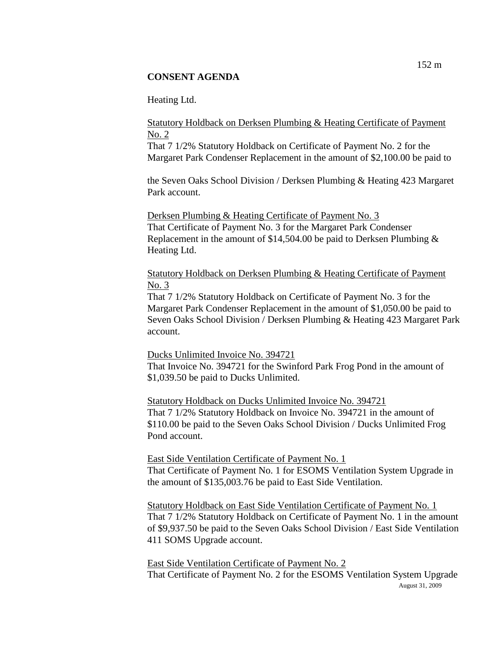Heating Ltd.

Statutory Holdback on Derksen Plumbing & Heating Certificate of Payment No. 2

That 7 1/2% Statutory Holdback on Certificate of Payment No. 2 for the Margaret Park Condenser Replacement in the amount of \$2,100.00 be paid to

the Seven Oaks School Division / Derksen Plumbing & Heating 423 Margaret Park account.

Derksen Plumbing & Heating Certificate of Payment No. 3 That Certificate of Payment No. 3 for the Margaret Park Condenser Replacement in the amount of \$14,504.00 be paid to Derksen Plumbing & Heating Ltd.

Statutory Holdback on Derksen Plumbing & Heating Certificate of Payment No. 3

That 7 1/2% Statutory Holdback on Certificate of Payment No. 3 for the Margaret Park Condenser Replacement in the amount of \$1,050.00 be paid to Seven Oaks School Division / Derksen Plumbing & Heating 423 Margaret Park account.

Ducks Unlimited Invoice No. 394721

That Invoice No. 394721 for the Swinford Park Frog Pond in the amount of \$1,039.50 be paid to Ducks Unlimited.

Statutory Holdback on Ducks Unlimited Invoice No. 394721 That 7 1/2% Statutory Holdback on Invoice No. 394721 in the amount of \$110.00 be paid to the Seven Oaks School Division / Ducks Unlimited Frog Pond account.

East Side Ventilation Certificate of Payment No. 1 That Certificate of Payment No. 1 for ESOMS Ventilation System Upgrade in the amount of \$135,003.76 be paid to East Side Ventilation.

Statutory Holdback on East Side Ventilation Certificate of Payment No. 1 That 7 1/2% Statutory Holdback on Certificate of Payment No. 1 in the amount of \$9,937.50 be paid to the Seven Oaks School Division / East Side Ventilation 411 SOMS Upgrade account.

August 31, 2009 East Side Ventilation Certificate of Payment No. 2 That Certificate of Payment No. 2 for the ESOMS Ventilation System Upgrade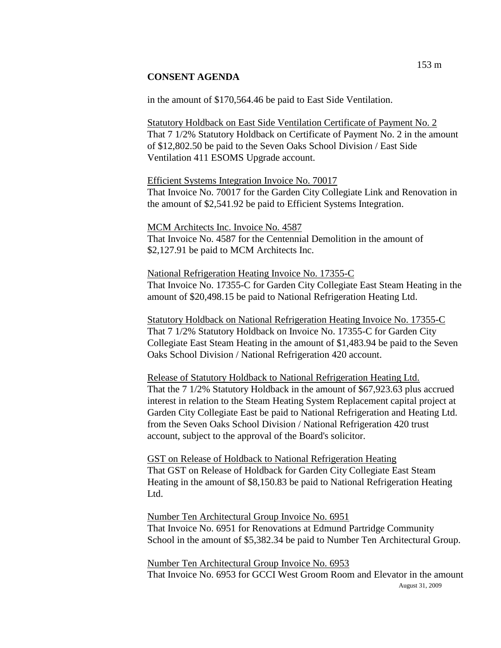in the amount of \$170,564.46 be paid to East Side Ventilation.

Statutory Holdback on East Side Ventilation Certificate of Payment No. 2 That 7 1/2% Statutory Holdback on Certificate of Payment No. 2 in the amount of \$12,802.50 be paid to the Seven Oaks School Division / East Side Ventilation 411 ESOMS Upgrade account.

Efficient Systems Integration Invoice No. 70017 That Invoice No. 70017 for the Garden City Collegiate Link and Renovation in the amount of \$2,541.92 be paid to Efficient Systems Integration.

MCM Architects Inc. Invoice No. 4587 That Invoice No. 4587 for the Centennial Demolition in the amount of \$2,127.91 be paid to MCM Architects Inc.

National Refrigeration Heating Invoice No. 17355-C That Invoice No. 17355-C for Garden City Collegiate East Steam Heating in the amount of \$20,498.15 be paid to National Refrigeration Heating Ltd.

Statutory Holdback on National Refrigeration Heating Invoice No. 17355-C That 7 1/2% Statutory Holdback on Invoice No. 17355-C for Garden City Collegiate East Steam Heating in the amount of \$1,483.94 be paid to the Seven Oaks School Division / National Refrigeration 420 account.

Release of Statutory Holdback to National Refrigeration Heating Ltd. That the 7 1/2% Statutory Holdback in the amount of \$67,923.63 plus accrued interest in relation to the Steam Heating System Replacement capital project at Garden City Collegiate East be paid to National Refrigeration and Heating Ltd. from the Seven Oaks School Division / National Refrigeration 420 trust account, subject to the approval of the Board's solicitor.

GST on Release of Holdback to National Refrigeration Heating That GST on Release of Holdback for Garden City Collegiate East Steam Heating in the amount of \$8,150.83 be paid to National Refrigeration Heating Ltd.

Number Ten Architectural Group Invoice No. 6951 That Invoice No. 6951 for Renovations at Edmund Partridge Community School in the amount of \$5,382.34 be paid to Number Ten Architectural Group.

August 31, 2009 Number Ten Architectural Group Invoice No. 6953 That Invoice No. 6953 for GCCI West Groom Room and Elevator in the amount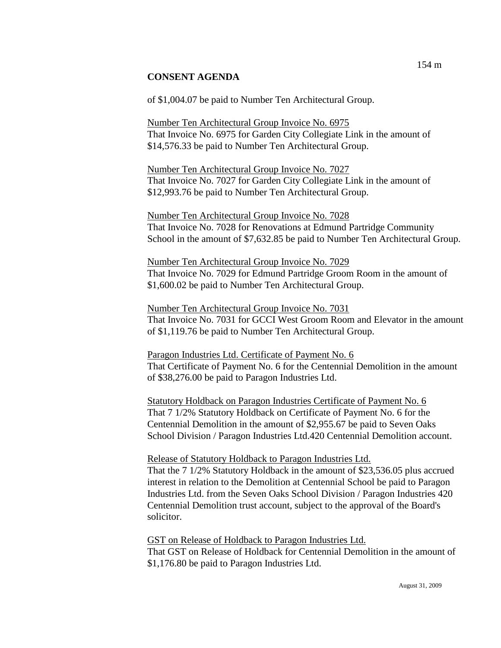of \$1,004.07 be paid to Number Ten Architectural Group.

Number Ten Architectural Group Invoice No. 6975 That Invoice No. 6975 for Garden City Collegiate Link in the amount of \$14,576.33 be paid to Number Ten Architectural Group.

Number Ten Architectural Group Invoice No. 7027 That Invoice No. 7027 for Garden City Collegiate Link in the amount of \$12,993.76 be paid to Number Ten Architectural Group.

Number Ten Architectural Group Invoice No. 7028 That Invoice No. 7028 for Renovations at Edmund Partridge Community School in the amount of \$7,632.85 be paid to Number Ten Architectural Group.

Number Ten Architectural Group Invoice No. 7029 That Invoice No. 7029 for Edmund Partridge Groom Room in the amount of \$1,600.02 be paid to Number Ten Architectural Group.

Number Ten Architectural Group Invoice No. 7031 That Invoice No. 7031 for GCCI West Groom Room and Elevator in the amount of \$1,119.76 be paid to Number Ten Architectural Group.

Paragon Industries Ltd. Certificate of Payment No. 6 That Certificate of Payment No. 6 for the Centennial Demolition in the amount of \$38,276.00 be paid to Paragon Industries Ltd.

Statutory Holdback on Paragon Industries Certificate of Payment No. 6 That 7 1/2% Statutory Holdback on Certificate of Payment No. 6 for the Centennial Demolition in the amount of \$2,955.67 be paid to Seven Oaks School Division / Paragon Industries Ltd.420 Centennial Demolition account.

Release of Statutory Holdback to Paragon Industries Ltd.

That the 7 1/2% Statutory Holdback in the amount of \$23,536.05 plus accrued interest in relation to the Demolition at Centennial School be paid to Paragon Industries Ltd. from the Seven Oaks School Division / Paragon Industries 420 Centennial Demolition trust account, subject to the approval of the Board's solicitor.

GST on Release of Holdback to Paragon Industries Ltd.

That GST on Release of Holdback for Centennial Demolition in the amount of \$1,176.80 be paid to Paragon Industries Ltd.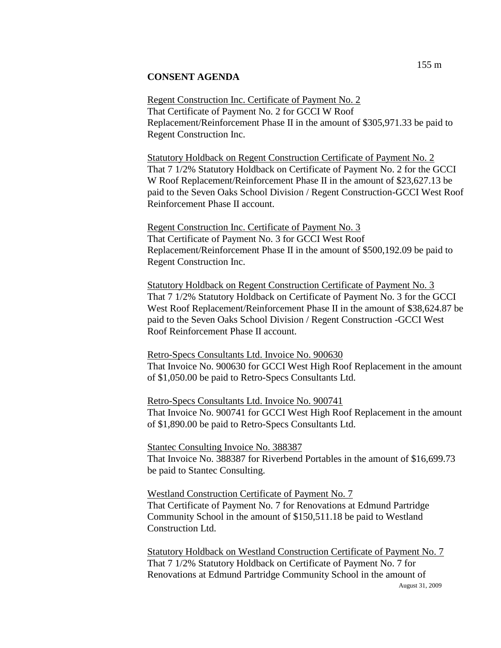Regent Construction Inc. Certificate of Payment No. 2 That Certificate of Payment No. 2 for GCCI W Roof Replacement/Reinforcement Phase II in the amount of \$305,971.33 be paid to Regent Construction Inc.

Statutory Holdback on Regent Construction Certificate of Payment No. 2 That 7 1/2% Statutory Holdback on Certificate of Payment No. 2 for the GCCI W Roof Replacement/Reinforcement Phase II in the amount of \$23,627.13 be paid to the Seven Oaks School Division / Regent Construction-GCCI West Roof Reinforcement Phase II account.

Regent Construction Inc. Certificate of Payment No. 3 That Certificate of Payment No. 3 for GCCI West Roof Replacement/Reinforcement Phase II in the amount of \$500,192.09 be paid to Regent Construction Inc.

Statutory Holdback on Regent Construction Certificate of Payment No. 3 That 7 1/2% Statutory Holdback on Certificate of Payment No. 3 for the GCCI West Roof Replacement/Reinforcement Phase II in the amount of \$38,624.87 be paid to the Seven Oaks School Division / Regent Construction -GCCI West Roof Reinforcement Phase II account.

#### Retro-Specs Consultants Ltd. Invoice No. 900630

That Invoice No. 900630 for GCCI West High Roof Replacement in the amount of \$1,050.00 be paid to Retro-Specs Consultants Ltd.

Retro-Specs Consultants Ltd. Invoice No. 900741 That Invoice No. 900741 for GCCI West High Roof Replacement in the amount of \$1,890.00 be paid to Retro-Specs Consultants Ltd.

Stantec Consulting Invoice No. 388387 That Invoice No. 388387 for Riverbend Portables in the amount of \$16,699.73 be paid to Stantec Consulting.

Westland Construction Certificate of Payment No. 7 That Certificate of Payment No. 7 for Renovations at Edmund Partridge Community School in the amount of \$150,511.18 be paid to Westland Construction Ltd.

August 31, 2009 Statutory Holdback on Westland Construction Certificate of Payment No. 7 That 7 1/2% Statutory Holdback on Certificate of Payment No. 7 for Renovations at Edmund Partridge Community School in the amount of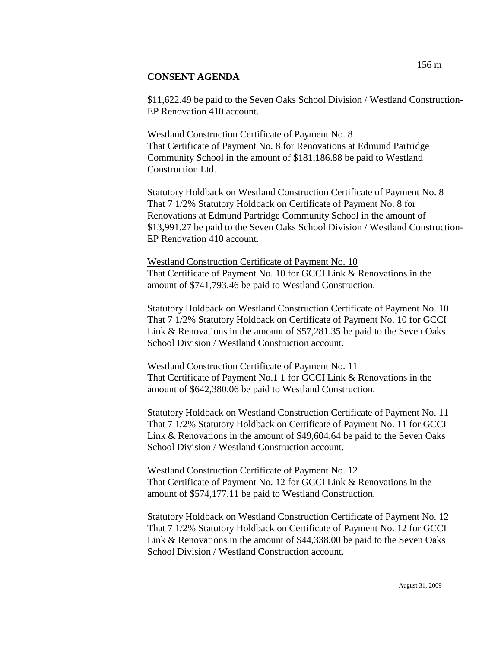Westland Construction Certificate of Payment No. 8 That Certificate of Payment No. 8 for Renovations at Edmund Partridge Community School in the amount of \$181,186.88 be paid to Westland Construction Ltd.

Statutory Holdback on Westland Construction Certificate of Payment No. 8 That 7 1/2% Statutory Holdback on Certificate of Payment No. 8 for Renovations at Edmund Partridge Community School in the amount of \$13,991.27 be paid to the Seven Oaks School Division / Westland Construction-EP Renovation 410 account.

Westland Construction Certificate of Payment No. 10 That Certificate of Payment No. 10 for GCCI Link & Renovations in the amount of \$741,793.46 be paid to Westland Construction.

Statutory Holdback on Westland Construction Certificate of Payment No. 10 That 7 1/2% Statutory Holdback on Certificate of Payment No. 10 for GCCI Link & Renovations in the amount of \$57,281.35 be paid to the Seven Oaks School Division / Westland Construction account.

Westland Construction Certificate of Payment No. 11 That Certificate of Payment No.1 1 for GCCI Link & Renovations in the amount of \$642,380.06 be paid to Westland Construction.

Statutory Holdback on Westland Construction Certificate of Payment No. 11 That 7 1/2% Statutory Holdback on Certificate of Payment No. 11 for GCCI Link & Renovations in the amount of \$49,604.64 be paid to the Seven Oaks School Division / Westland Construction account.

Westland Construction Certificate of Payment No. 12 That Certificate of Payment No. 12 for GCCI Link & Renovations in the amount of \$574,177.11 be paid to Westland Construction.

Statutory Holdback on Westland Construction Certificate of Payment No. 12 That 7 1/2% Statutory Holdback on Certificate of Payment No. 12 for GCCI Link & Renovations in the amount of \$44,338.00 be paid to the Seven Oaks School Division / Westland Construction account.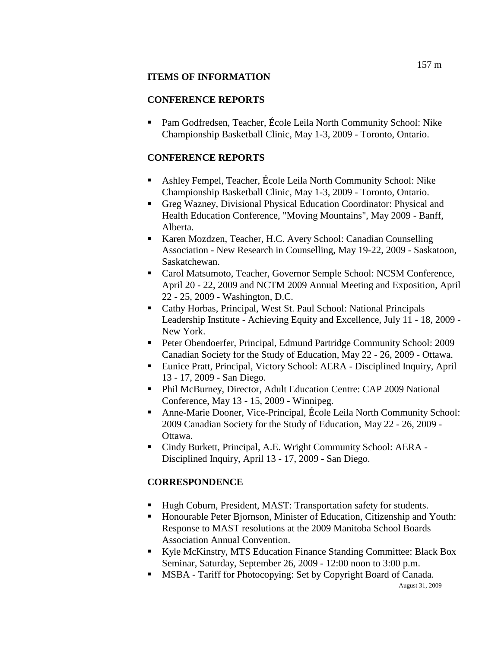### **ITEMS OF INFORMATION**

## **CONFERENCE REPORTS**

 Pam Godfredsen, Teacher, École Leila North Community School: Nike Championship Basketball Clinic, May 1-3, 2009 - Toronto, Ontario.

## **CONFERENCE REPORTS**

- Ashley Fempel, Teacher, École Leila North Community School: Nike Championship Basketball Clinic, May 1-3, 2009 - Toronto, Ontario.
- Greg Wazney, Divisional Physical Education Coordinator: Physical and Health Education Conference, "Moving Mountains", May 2009 - Banff, Alberta.
- Karen Mozdzen, Teacher, H.C. Avery School: Canadian Counselling Association - New Research in Counselling, May 19-22, 2009 - Saskatoon, Saskatchewan.
- Carol Matsumoto, Teacher, Governor Semple School: NCSM Conference, April 20 - 22, 2009 and NCTM 2009 Annual Meeting and Exposition, April 22 - 25, 2009 - Washington, D.C.
- Cathy Horbas, Principal, West St. Paul School: National Principals Leadership Institute - Achieving Equity and Excellence, July 11 - 18, 2009 - New York.
- Peter Obendoerfer, Principal, Edmund Partridge Community School: 2009 Canadian Society for the Study of Education, May 22 - 26, 2009 - Ottawa.
- Eunice Pratt, Principal, Victory School: AERA Disciplined Inquiry, April 13 - 17, 2009 - San Diego.
- Phil McBurney, Director, Adult Education Centre: CAP 2009 National Conference, May 13 - 15, 2009 - Winnipeg.
- Anne-Marie Dooner, Vice-Principal, École Leila North Community School: 2009 Canadian Society for the Study of Education, May 22 - 26, 2009 - Ottawa.
- Cindy Burkett, Principal, A.E. Wright Community School: AERA Disciplined Inquiry, April 13 - 17, 2009 - San Diego.

# **CORRESPONDENCE**

- Hugh Coburn, President, MAST: Transportation safety for students.
- Honourable Peter Bjornson, Minister of Education, Citizenship and Youth: Response to MAST resolutions at the 2009 Manitoba School Boards Association Annual Convention.
- Kyle McKinstry, MTS Education Finance Standing Committee: Black Box Seminar, Saturday, September 26, 2009 - 12:00 noon to 3:00 p.m.
- MSBA Tariff for Photocopying: Set by Copyright Board of Canada.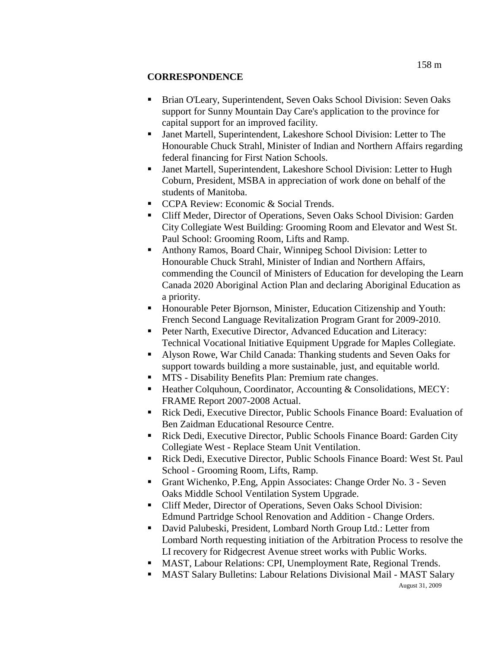### **CORRESPONDENCE**

- Brian O'Leary, Superintendent, Seven Oaks School Division: Seven Oaks support for Sunny Mountain Day Care's application to the province for capital support for an improved facility.
- Janet Martell, Superintendent, Lakeshore School Division: Letter to The Honourable Chuck Strahl, Minister of Indian and Northern Affairs regarding federal financing for First Nation Schools.
- Janet Martell, Superintendent, Lakeshore School Division: Letter to Hugh Coburn, President, MSBA in appreciation of work done on behalf of the students of Manitoba.
- CCPA Review: Economic & Social Trends.
- Cliff Meder, Director of Operations, Seven Oaks School Division: Garden City Collegiate West Building: Grooming Room and Elevator and West St. Paul School: Grooming Room, Lifts and Ramp.
- Anthony Ramos, Board Chair, Winnipeg School Division: Letter to Honourable Chuck Strahl, Minister of Indian and Northern Affairs, commending the Council of Ministers of Education for developing the Learn Canada 2020 Aboriginal Action Plan and declaring Aboriginal Education as a priority.
- Honourable Peter Bjornson, Minister, Education Citizenship and Youth: French Second Language Revitalization Program Grant for 2009-2010.
- Peter Narth, Executive Director, Advanced Education and Literacy: Technical Vocational Initiative Equipment Upgrade for Maples Collegiate.
- Alyson Rowe, War Child Canada: Thanking students and Seven Oaks for support towards building a more sustainable, just, and equitable world.
- MTS Disability Benefits Plan: Premium rate changes.
- Heather Colquhoun, Coordinator, Accounting & Consolidations, MECY: FRAME Report 2007-2008 Actual.
- Rick Dedi, Executive Director, Public Schools Finance Board: Evaluation of Ben Zaidman Educational Resource Centre.
- Rick Dedi, Executive Director, Public Schools Finance Board: Garden City Collegiate West - Replace Steam Unit Ventilation.
- Rick Dedi, Executive Director, Public Schools Finance Board: West St. Paul School - Grooming Room, Lifts, Ramp.
- Grant Wichenko, P.Eng, Appin Associates: Change Order No. 3 Seven Oaks Middle School Ventilation System Upgrade.
- Cliff Meder, Director of Operations, Seven Oaks School Division: Edmund Partridge School Renovation and Addition - Change Orders.
- David Palubeski, President, Lombard North Group Ltd.: Letter from Lombard North requesting initiation of the Arbitration Process to resolve the LI recovery for Ridgecrest Avenue street works with Public Works.
- MAST, Labour Relations: CPI, Unemployment Rate, Regional Trends.
- MAST Salary Bulletins: Labour Relations Divisional Mail MAST Salary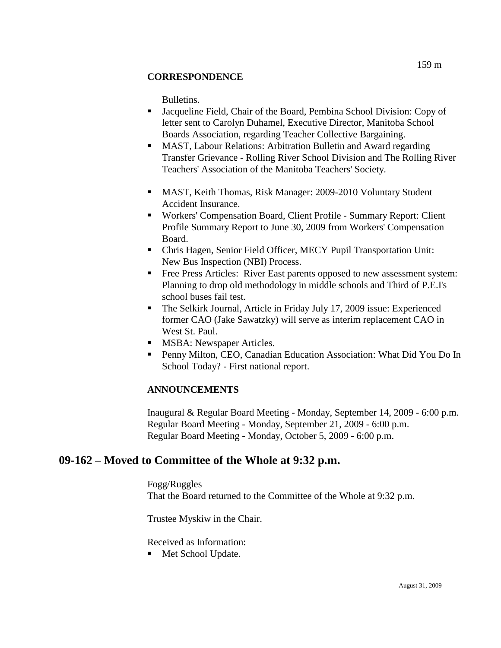### **CORRESPONDENCE**

Bulletins.

- Jacqueline Field, Chair of the Board, Pembina School Division: Copy of letter sent to Carolyn Duhamel, Executive Director, Manitoba School Boards Association, regarding Teacher Collective Bargaining.
- MAST, Labour Relations: Arbitration Bulletin and Award regarding Transfer Grievance - Rolling River School Division and The Rolling River Teachers' Association of the Manitoba Teachers' Society.
- MAST, Keith Thomas, Risk Manager: 2009-2010 Voluntary Student Accident Insurance.
- Workers' Compensation Board, Client Profile Summary Report: Client Profile Summary Report to June 30, 2009 from Workers' Compensation Board.
- Chris Hagen, Senior Field Officer, MECY Pupil Transportation Unit: New Bus Inspection (NBI) Process.
- Free Press Articles: River East parents opposed to new assessment system: Planning to drop old methodology in middle schools and Third of P.E.I's school buses fail test.
- The Selkirk Journal, Article in Friday July 17, 2009 issue: Experienced former CAO (Jake Sawatzky) will serve as interim replacement CAO in West St. Paul.
- **MSBA: Newspaper Articles.**
- **Penny Milton, CEO, Canadian Education Association: What Did You Do In** School Today? - First national report.

### **ANNOUNCEMENTS**

Inaugural & Regular Board Meeting - Monday, September 14, 2009 - 6:00 p.m. Regular Board Meeting - Monday, September 21, 2009 - 6:00 p.m. Regular Board Meeting - Monday, October 5, 2009 - 6:00 p.m.

# **09-162 – Moved to Committee of the Whole at 9:32 p.m.**

Fogg/Ruggles That the Board returned to the Committee of the Whole at 9:32 p.m.

Trustee Myskiw in the Chair.

Received as Information:

■ Met School Update.